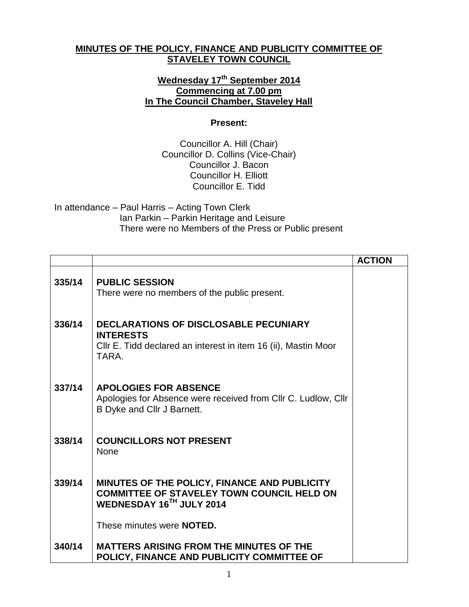## **MINUTES OF THE POLICY, FINANCE AND PUBLICITY COMMITTEE OF STAVELEY TOWN COUNCIL**

## **Wednesday 17 th September 2014 Commencing at 7.00 pm In The Council Chamber, Staveley Hall**

## **Present:**

Councillor A. Hill (Chair) Councillor D. Collins (Vice-Chair) Councillor J. Bacon Councillor H. Elliott Councillor E. Tidd

In attendance – Paul Harris – Acting Town Clerk Ian Parkin – Parkin Heritage and Leisure There were no Members of the Press or Public present

|        |                                                                                                                                      | <b>ACTION</b> |
|--------|--------------------------------------------------------------------------------------------------------------------------------------|---------------|
| 335/14 | <b>PUBLIC SESSION</b><br>There were no members of the public present.                                                                |               |
| 336/14 | DECLARATIONS OF DISCLOSABLE PECUNIARY<br><b>INTERESTS</b><br>CIIr E. Tidd declared an interest in item 16 (ii), Mastin Moor<br>TARA. |               |
| 337/14 | <b>APOLOGIES FOR ABSENCE</b><br>Apologies for Absence were received from Cllr C. Ludlow, Cllr<br>B Dyke and Cllr J Barnett.          |               |
| 338/14 | <b>COUNCILLORS NOT PRESENT</b><br>None                                                                                               |               |
| 339/14 | MINUTES OF THE POLICY, FINANCE AND PUBLICITY<br><b>COMMITTEE OF STAVELEY TOWN COUNCIL HELD ON</b><br>WEDNESDAY 16TH JULY 2014        |               |
|        | These minutes were <b>NOTED.</b>                                                                                                     |               |
| 340/14 | <b>MATTERS ARISING FROM THE MINUTES OF THE</b><br>POLICY, FINANCE AND PUBLICITY COMMITTEE OF                                         |               |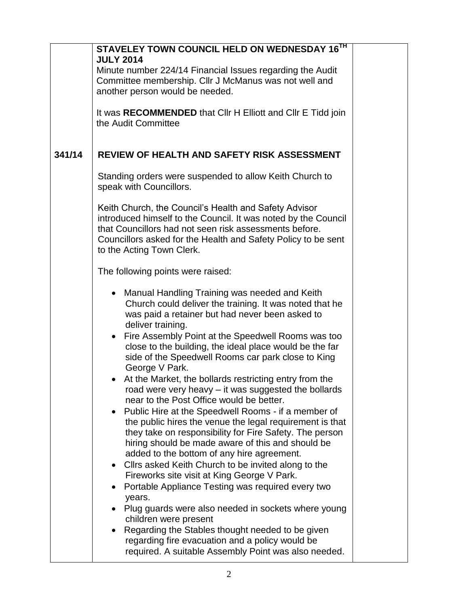|        | STAVELEY TOWN COUNCIL HELD ON WEDNESDAY 16TH<br><b>JULY 2014</b><br>Minute number 224/14 Financial Issues regarding the Audit<br>Committee membership. Cllr J McManus was not well and                                                                                                                                                                                                                                                                                                                                                                                                                                                                                                                                                                                                                                                                                                                                                                                                                                                                                                                                                                                                                                                                                                                                     |  |
|--------|----------------------------------------------------------------------------------------------------------------------------------------------------------------------------------------------------------------------------------------------------------------------------------------------------------------------------------------------------------------------------------------------------------------------------------------------------------------------------------------------------------------------------------------------------------------------------------------------------------------------------------------------------------------------------------------------------------------------------------------------------------------------------------------------------------------------------------------------------------------------------------------------------------------------------------------------------------------------------------------------------------------------------------------------------------------------------------------------------------------------------------------------------------------------------------------------------------------------------------------------------------------------------------------------------------------------------|--|
|        | another person would be needed.                                                                                                                                                                                                                                                                                                                                                                                                                                                                                                                                                                                                                                                                                                                                                                                                                                                                                                                                                                                                                                                                                                                                                                                                                                                                                            |  |
|        | It was RECOMMENDED that CIIr H Elliott and CIIr E Tidd join<br>the Audit Committee                                                                                                                                                                                                                                                                                                                                                                                                                                                                                                                                                                                                                                                                                                                                                                                                                                                                                                                                                                                                                                                                                                                                                                                                                                         |  |
| 341/14 | REVIEW OF HEALTH AND SAFETY RISK ASSESSMENT                                                                                                                                                                                                                                                                                                                                                                                                                                                                                                                                                                                                                                                                                                                                                                                                                                                                                                                                                                                                                                                                                                                                                                                                                                                                                |  |
|        | Standing orders were suspended to allow Keith Church to<br>speak with Councillors.                                                                                                                                                                                                                                                                                                                                                                                                                                                                                                                                                                                                                                                                                                                                                                                                                                                                                                                                                                                                                                                                                                                                                                                                                                         |  |
|        | Keith Church, the Council's Health and Safety Advisor<br>introduced himself to the Council. It was noted by the Council<br>that Councillors had not seen risk assessments before.<br>Councillors asked for the Health and Safety Policy to be sent<br>to the Acting Town Clerk.                                                                                                                                                                                                                                                                                                                                                                                                                                                                                                                                                                                                                                                                                                                                                                                                                                                                                                                                                                                                                                            |  |
|        | The following points were raised:                                                                                                                                                                                                                                                                                                                                                                                                                                                                                                                                                                                                                                                                                                                                                                                                                                                                                                                                                                                                                                                                                                                                                                                                                                                                                          |  |
|        | Manual Handling Training was needed and Keith<br>$\bullet$<br>Church could deliver the training. It was noted that he<br>was paid a retainer but had never been asked to<br>deliver training.<br>Fire Assembly Point at the Speedwell Rooms was too<br>$\bullet$<br>close to the building, the ideal place would be the far<br>side of the Speedwell Rooms car park close to King<br>George V Park.<br>At the Market, the bollards restricting entry from the<br>$\bullet$<br>road were very heavy – it was suggested the bollards<br>near to the Post Office would be better.<br>Public Hire at the Speedwell Rooms - if a member of<br>the public hires the venue the legal requirement is that<br>they take on responsibility for Fire Safety. The person<br>hiring should be made aware of this and should be<br>added to the bottom of any hire agreement.<br>Cllrs asked Keith Church to be invited along to the<br>$\bullet$<br>Fireworks site visit at King George V Park.<br>Portable Appliance Testing was required every two<br>$\bullet$<br>years.<br>Plug guards were also needed in sockets where young<br>children were present<br>Regarding the Stables thought needed to be given<br>$\bullet$<br>regarding fire evacuation and a policy would be<br>required. A suitable Assembly Point was also needed. |  |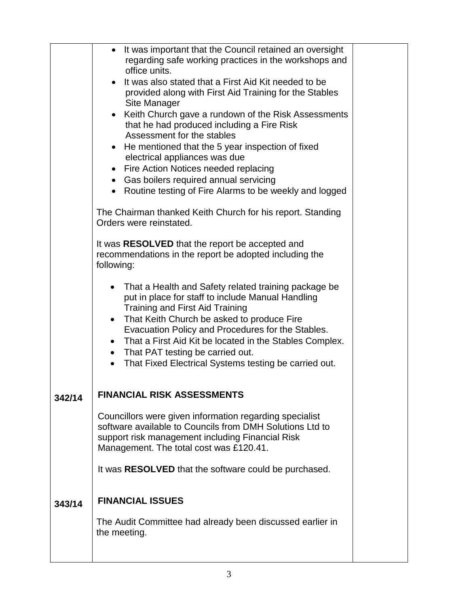|        | It was important that the Council retained an oversight<br>regarding safe working practices in the workshops and<br>office units.                                                                                  |  |
|--------|--------------------------------------------------------------------------------------------------------------------------------------------------------------------------------------------------------------------|--|
|        | It was also stated that a First Aid Kit needed to be<br>provided along with First Aid Training for the Stables<br>Site Manager                                                                                     |  |
|        | Keith Church gave a rundown of the Risk Assessments<br>that he had produced including a Fire Risk<br>Assessment for the stables                                                                                    |  |
|        | He mentioned that the 5 year inspection of fixed<br>electrical appliances was due                                                                                                                                  |  |
|        | • Fire Action Notices needed replacing                                                                                                                                                                             |  |
|        | • Gas boilers required annual servicing                                                                                                                                                                            |  |
|        | • Routine testing of Fire Alarms to be weekly and logged                                                                                                                                                           |  |
|        | The Chairman thanked Keith Church for his report. Standing<br>Orders were reinstated.                                                                                                                              |  |
|        | It was RESOLVED that the report be accepted and                                                                                                                                                                    |  |
|        | recommendations in the report be adopted including the<br>following:                                                                                                                                               |  |
|        | That a Health and Safety related training package be<br>$\bullet$<br>put in place for staff to include Manual Handling<br>Training and First Aid Training                                                          |  |
|        | That Keith Church be asked to produce Fire<br>$\bullet$                                                                                                                                                            |  |
|        | Evacuation Policy and Procedures for the Stables.                                                                                                                                                                  |  |
|        | That a First Aid Kit be located in the Stables Complex.<br>• That PAT testing be carried out.                                                                                                                      |  |
|        | That Fixed Electrical Systems testing be carried out.<br>$\bullet$                                                                                                                                                 |  |
|        |                                                                                                                                                                                                                    |  |
| 342/14 | <b>FINANCIAL RISK ASSESSMENTS</b>                                                                                                                                                                                  |  |
|        | Councillors were given information regarding specialist<br>software available to Councils from DMH Solutions Ltd to<br>support risk management including Financial Risk<br>Management. The total cost was £120.41. |  |
|        | It was RESOLVED that the software could be purchased.                                                                                                                                                              |  |
| 343/14 | <b>FINANCIAL ISSUES</b>                                                                                                                                                                                            |  |
|        | The Audit Committee had already been discussed earlier in<br>the meeting.                                                                                                                                          |  |
|        |                                                                                                                                                                                                                    |  |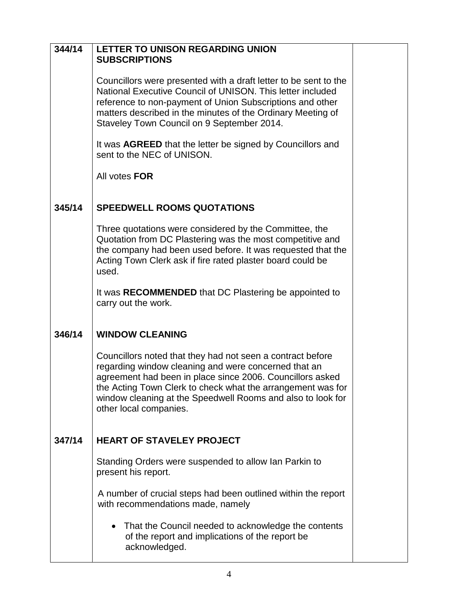| 344/14 | <b>LETTER TO UNISON REGARDING UNION</b><br><b>SUBSCRIPTIONS</b>                                                                                                                                                                                                                                                                         |  |
|--------|-----------------------------------------------------------------------------------------------------------------------------------------------------------------------------------------------------------------------------------------------------------------------------------------------------------------------------------------|--|
|        | Councillors were presented with a draft letter to be sent to the<br>National Executive Council of UNISON. This letter included<br>reference to non-payment of Union Subscriptions and other<br>matters described in the minutes of the Ordinary Meeting of<br>Staveley Town Council on 9 September 2014.                                |  |
|        | It was AGREED that the letter be signed by Councillors and<br>sent to the NEC of UNISON.                                                                                                                                                                                                                                                |  |
|        | All votes FOR                                                                                                                                                                                                                                                                                                                           |  |
| 345/14 | <b>SPEEDWELL ROOMS QUOTATIONS</b>                                                                                                                                                                                                                                                                                                       |  |
|        | Three quotations were considered by the Committee, the<br>Quotation from DC Plastering was the most competitive and<br>the company had been used before. It was requested that the<br>Acting Town Clerk ask if fire rated plaster board could be<br>used.                                                                               |  |
|        | It was RECOMMENDED that DC Plastering be appointed to<br>carry out the work.                                                                                                                                                                                                                                                            |  |
| 346/14 | <b>WINDOW CLEANING</b>                                                                                                                                                                                                                                                                                                                  |  |
|        | Councillors noted that they had not seen a contract before<br>regarding window cleaning and were concerned that an<br>agreement had been in place since 2006. Councillors asked<br>the Acting Town Clerk to check what the arrangement was for<br>window cleaning at the Speedwell Rooms and also to look for<br>other local companies. |  |
| 347/14 | <b>HEART OF STAVELEY PROJECT</b>                                                                                                                                                                                                                                                                                                        |  |
|        | Standing Orders were suspended to allow Ian Parkin to<br>present his report.                                                                                                                                                                                                                                                            |  |
|        | A number of crucial steps had been outlined within the report<br>with recommendations made, namely                                                                                                                                                                                                                                      |  |
|        | That the Council needed to acknowledge the contents<br>of the report and implications of the report be<br>acknowledged.                                                                                                                                                                                                                 |  |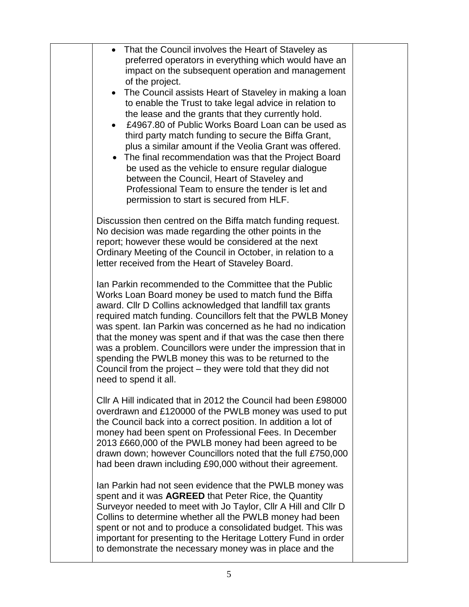| • That the Council involves the Heart of Staveley as<br>preferred operators in everything which would have an<br>impact on the subsequent operation and management<br>of the project.<br>The Council assists Heart of Staveley in making a loan<br>$\bullet$<br>to enable the Trust to take legal advice in relation to<br>the lease and the grants that they currently hold.<br>£4967.80 of Public Works Board Loan can be used as<br>third party match funding to secure the Biffa Grant,<br>plus a similar amount if the Veolia Grant was offered.<br>• The final recommendation was that the Project Board<br>be used as the vehicle to ensure regular dialogue<br>between the Council, Heart of Staveley and<br>Professional Team to ensure the tender is let and<br>permission to start is secured from HLF. |  |
|--------------------------------------------------------------------------------------------------------------------------------------------------------------------------------------------------------------------------------------------------------------------------------------------------------------------------------------------------------------------------------------------------------------------------------------------------------------------------------------------------------------------------------------------------------------------------------------------------------------------------------------------------------------------------------------------------------------------------------------------------------------------------------------------------------------------|--|
| Discussion then centred on the Biffa match funding request.<br>No decision was made regarding the other points in the<br>report; however these would be considered at the next<br>Ordinary Meeting of the Council in October, in relation to a<br>letter received from the Heart of Staveley Board.                                                                                                                                                                                                                                                                                                                                                                                                                                                                                                                |  |
| Ian Parkin recommended to the Committee that the Public<br>Works Loan Board money be used to match fund the Biffa<br>award. Cllr D Collins acknowledged that landfill tax grants<br>required match funding. Councillors felt that the PWLB Money<br>was spent. Ian Parkin was concerned as he had no indication<br>that the money was spent and if that was the case then there<br>was a problem. Councillors were under the impression that in<br>spending the PWLB money this was to be returned to the<br>Council from the project – they were told that they did not<br>need to spend it all.                                                                                                                                                                                                                  |  |
| Cllr A Hill indicated that in 2012 the Council had been £98000<br>overdrawn and £120000 of the PWLB money was used to put<br>the Council back into a correct position. In addition a lot of<br>money had been spent on Professional Fees. In December<br>2013 £660,000 of the PWLB money had been agreed to be<br>drawn down; however Councillors noted that the full £750,000<br>had been drawn including £90,000 without their agreement.                                                                                                                                                                                                                                                                                                                                                                        |  |
| Ian Parkin had not seen evidence that the PWLB money was<br>spent and it was <b>AGREED</b> that Peter Rice, the Quantity<br>Surveyor needed to meet with Jo Taylor, Cllr A Hill and Cllr D<br>Collins to determine whether all the PWLB money had been<br>spent or not and to produce a consolidated budget. This was<br>important for presenting to the Heritage Lottery Fund in order<br>to demonstrate the necessary money was in place and the                                                                                                                                                                                                                                                                                                                                                                 |  |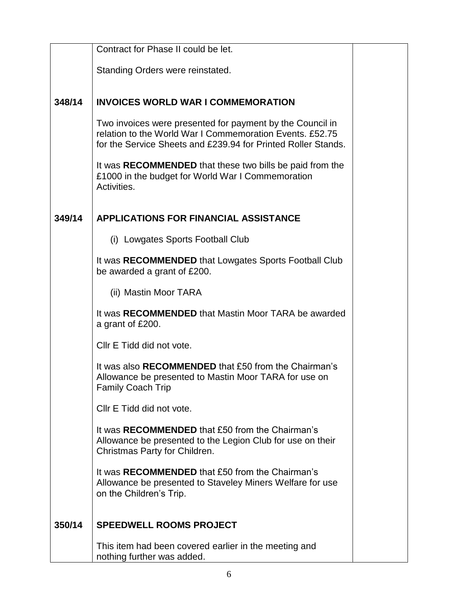|        | Contract for Phase II could be let.                                                                                                                                                    |  |
|--------|----------------------------------------------------------------------------------------------------------------------------------------------------------------------------------------|--|
|        | Standing Orders were reinstated.                                                                                                                                                       |  |
|        |                                                                                                                                                                                        |  |
| 348/14 | <b>INVOICES WORLD WAR I COMMEMORATION</b>                                                                                                                                              |  |
|        | Two invoices were presented for payment by the Council in<br>relation to the World War I Commemoration Events, £52.75<br>for the Service Sheets and £239.94 for Printed Roller Stands. |  |
|        | It was RECOMMENDED that these two bills be paid from the<br>£1000 in the budget for World War I Commemoration<br>Activities.                                                           |  |
| 349/14 | APPLICATIONS FOR FINANCIAL ASSISTANCE                                                                                                                                                  |  |
|        | (i) Lowgates Sports Football Club                                                                                                                                                      |  |
|        | It was RECOMMENDED that Lowgates Sports Football Club<br>be awarded a grant of £200.                                                                                                   |  |
|        | (ii) Mastin Moor TARA                                                                                                                                                                  |  |
|        | It was RECOMMENDED that Mastin Moor TARA be awarded<br>a grant of £200.                                                                                                                |  |
|        | Cllr E Tidd did not vote.                                                                                                                                                              |  |
|        | It was also <b>RECOMMENDED</b> that £50 from the Chairman's<br>Allowance be presented to Mastin Moor TARA for use on<br>Family Coach Trip                                              |  |
|        | Cllr E Tidd did not vote.                                                                                                                                                              |  |
|        | It was <b>RECOMMENDED</b> that £50 from the Chairman's<br>Allowance be presented to the Legion Club for use on their<br>Christmas Party for Children.                                  |  |
|        | It was RECOMMENDED that £50 from the Chairman's<br>Allowance be presented to Staveley Miners Welfare for use<br>on the Children's Trip.                                                |  |
| 350/14 | <b>SPEEDWELL ROOMS PROJECT</b>                                                                                                                                                         |  |
|        | This item had been covered earlier in the meeting and<br>nothing further was added.                                                                                                    |  |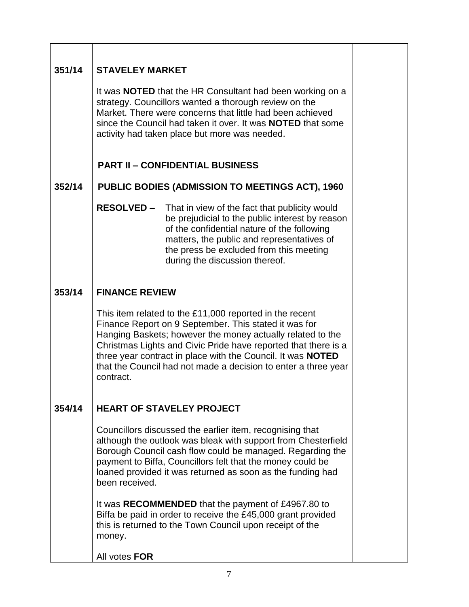| 351/14 | <b>STAVELEY MARKET</b>                                                                                                                                                                                                                                                                                                                                                                                |  |
|--------|-------------------------------------------------------------------------------------------------------------------------------------------------------------------------------------------------------------------------------------------------------------------------------------------------------------------------------------------------------------------------------------------------------|--|
|        | It was <b>NOTED</b> that the HR Consultant had been working on a<br>strategy. Councillors wanted a thorough review on the<br>Market. There were concerns that little had been achieved<br>since the Council had taken it over. It was <b>NOTED</b> that some<br>activity had taken place but more was needed.                                                                                         |  |
|        | <b>PART II - CONFIDENTIAL BUSINESS</b>                                                                                                                                                                                                                                                                                                                                                                |  |
| 352/14 | <b>PUBLIC BODIES (ADMISSION TO MEETINGS ACT), 1960</b>                                                                                                                                                                                                                                                                                                                                                |  |
|        | <b>RESOLVED -</b> That in view of the fact that publicity would<br>be prejudicial to the public interest by reason<br>of the confidential nature of the following<br>matters, the public and representatives of<br>the press be excluded from this meeting<br>during the discussion thereof.                                                                                                          |  |
| 353/14 | <b>FINANCE REVIEW</b>                                                                                                                                                                                                                                                                                                                                                                                 |  |
|        | This item related to the £11,000 reported in the recent<br>Finance Report on 9 September. This stated it was for<br>Hanging Baskets; however the money actually related to the<br>Christmas Lights and Civic Pride have reported that there is a<br>three year contract in place with the Council. It was <b>NOTED</b><br>that the Council had not made a decision to enter a three year<br>contract. |  |
| 354/14 | <b>HEART OF STAVELEY PROJECT</b>                                                                                                                                                                                                                                                                                                                                                                      |  |
|        | Councillors discussed the earlier item, recognising that<br>although the outlook was bleak with support from Chesterfield<br>Borough Council cash flow could be managed. Regarding the<br>payment to Biffa, Councillors felt that the money could be<br>loaned provided it was returned as soon as the funding had<br>been received.                                                                  |  |
|        | It was RECOMMENDED that the payment of £4967.80 to<br>Biffa be paid in order to receive the £45,000 grant provided<br>this is returned to the Town Council upon receipt of the<br>money.                                                                                                                                                                                                              |  |
|        | All votes FOR                                                                                                                                                                                                                                                                                                                                                                                         |  |